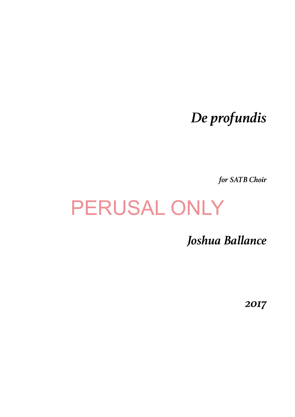## *De profundis*

*for SATB Choir*

## PERUSAL ONLY

*Joshua Ballance* 

*2017*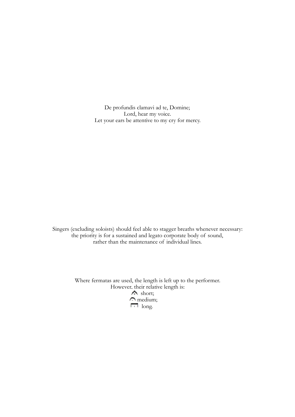De profundis clamavi ad te, Domine; Lord, hear my voice. Let your ears be attentive to my cry for mercy.

Singers (excluding soloists) should feel able to stagger breaths whenever necessary: the priority is for a sustained and legato corporate body of sound, rather than the maintenance of individual lines.

> Where fermatas are used, the length is left up to the performer. However, their relative length is: short; medium;  $\Box$  long.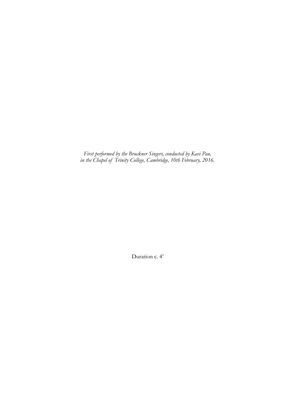*First performed by the Bruckner Singers, conducted by Kavi Pau, in the Chapel of Trinity College, Cambridge, 10th February, 2016.* 

Duration c. 4'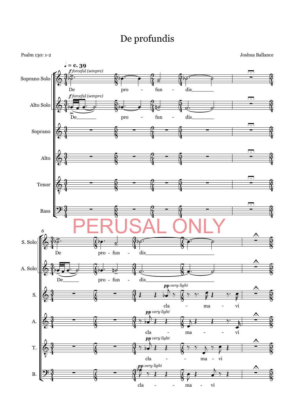## De profundis

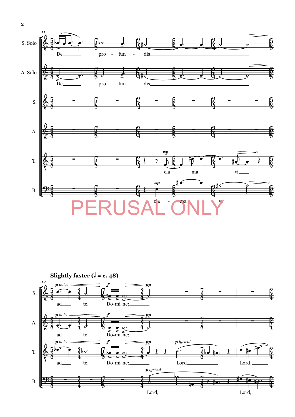

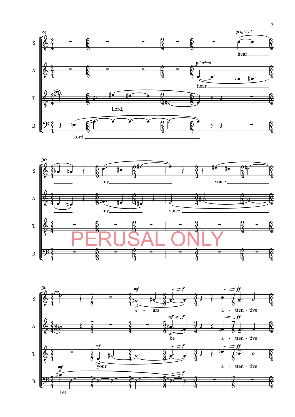